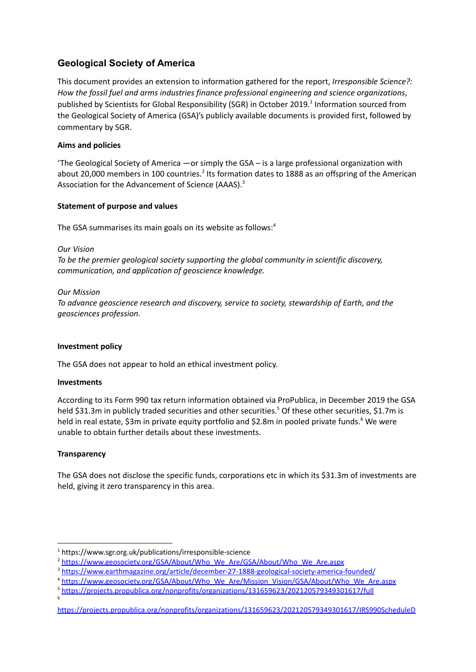# **Geological Society of America**

This document provides an extension to information gathered for the report, *Irresponsible Science?: How the fossil fuel and arms industries finance professional engineering and science organizations*, published by Scientists for Global Responsibility (SGR) in October 2019. 1 Information sourced from the Geological Society of America (GSA)'s publicly available documents is provided first, followed by commentary by SGR.

# **Aims and policies**

'The Geological Society of America —or simply the GSA – is a large professional organization with about 20,000 members in 100 countries.<sup>2</sup> Its formation dates to 1888 as an offspring of the American Association for the Advancement of Science (AAAS).<sup>3</sup>

# **Statement of purpose and values**

The GSA summarises its main goals on its website as follows:<sup>4</sup>

## *Our Vision*

*To be the premier geological society supporting the global community in scientific discovery, communication, and application of geoscience knowledge.*

# *Our Mission*

*To advance geoscience research and discovery, service to society, stewardship of Earth, and the geosciences profession.*

# **Investment policy**

The GSA does not appear to hold an ethical investment policy.

### **Investments**

According to its Form 990 tax return information obtained via ProPublica, in December 2019 the GSA held \$31.3m in publicly traded securities and other securities.<sup>5</sup> Of these other securities, \$1.7m is held in real estate, \$3m in private equity portfolio and \$2.8m in pooled private funds.<sup>6</sup> We were unable to obtain further details about these investments.

# **Transparency**

6

The GSA does not disclose the specific funds, corporations etc in which its \$31.3m of investments are held, giving it zero transparency in this area.

<sup>1</sup> <https://www.sgr.org.uk/publications/irresponsible-science>

<sup>&</sup>lt;sup>2</sup> [https://www.geosociety.org/GSA/About/Who\\_We\\_Are/GSA/About/Who\\_We\\_Are.aspx](https://www.geosociety.org/GSA/About/Who_We_Are/GSA/About/Who_We_Are.aspx)

<sup>&</sup>lt;sup>3</sup> <https://www.earthmagazine.org/article/december-27-1888-geological-society-america-founded/>

<sup>4</sup> [https://www.geosociety.org/GSA/About/Who\\_We\\_Are/Mission\\_Vision/GSA/About/Who\\_We\\_Are.aspx](https://www.geosociety.org/GSA/About/Who_We_Are/Mission_Vision/GSA/About/Who_We_Are.aspx)

<sup>5</sup> <https://projects.propublica.org/nonprofits/organizations/131659623/202120579349301617/full>

<https://projects.propublica.org/nonprofits/organizations/131659623/202120579349301617/IRS990ScheduleD>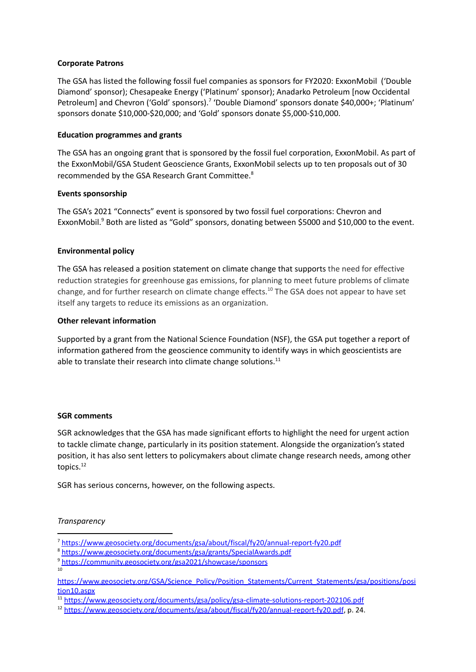## **Corporate Patrons**

The GSA has listed the following fossil fuel companies as sponsors for FY2020: ExxonMobil ('Double Diamond' sponsor); Chesapeake Energy ('Platinum' sponsor); Anadarko Petroleum [now Occidental Petroleum] and Chevron ('Gold' sponsors).<sup>7</sup> 'Double Diamond' sponsors donate \$40,000+; 'Platinum' sponsors donate \$10,000-\$20,000; and 'Gold' sponsors donate \$5,000-\$10,000.

## **Education programmes and grants**

The GSA has an ongoing grant that is sponsored by the fossil fuel corporation, ExxonMobil. As part of the ExxonMobil/GSA Student Geoscience Grants, ExxonMobil selects up to ten proposals out of 30 recommended by the GSA Research Grant Committee.<sup>8</sup>

## **Events sponsorship**

The GSA's 2021 "Connects" event is sponsored by two fossil fuel corporations: Chevron and ExxonMobil.<sup>9</sup> Both are listed as "Gold" sponsors, donating between \$5000 and \$10,000 to the event.

## **Environmental policy**

The GSA has released a position statement on climate change that supports the need for effective reduction strategies for greenhouse gas emissions, for planning to meet future problems of climate change, and for further research on climate change effects.<sup>10</sup> The GSA does not appear to have set itself any targets to reduce its emissions as an organization.

## **Other relevant information**

Supported by a grant from the National Science Foundation (NSF), the GSA put together a report of information gathered from the geoscience community to identify ways in which geoscientists are able to translate their research into climate change solutions. $^{11}$ 

### **SGR comments**

SGR acknowledges that the GSA has made significant efforts to highlight the need for urgent action to tackle climate change, particularly in its position statement. Alongside the organization's stated position, it has also sent letters to policymakers about climate change research needs, among other topics.<sup>12</sup>

SGR has serious concerns, however, on the following aspects.

### *Transparency*

10

<sup>7</sup> <https://www.geosociety.org/documents/gsa/about/fiscal/fy20/annual-report-fy20.pdf>

<sup>8</sup> <https://www.geosociety.org/documents/gsa/grants/SpecialAwards.pdf>

<sup>9</sup> <https://community.geosociety.org/gsa2021/showcase/sponsors>

[https://www.geosociety.org/GSA/Science\\_Policy/Position\\_Statements/Current\\_Statements/gsa/positions/posi](https://www.geosociety.org/GSA/Science_Policy/Position_Statements/Current_Statements/gsa/positions/position10.aspx) [tion10.aspx](https://www.geosociety.org/GSA/Science_Policy/Position_Statements/Current_Statements/gsa/positions/position10.aspx)

<sup>11</sup> <https://www.geosociety.org/documents/gsa/policy/gsa-climate-solutions-report-202106.pdf>

<sup>12</sup> <https://www.geosociety.org/documents/gsa/about/fiscal/fy20/annual-report-fy20.pdf>, p. 24.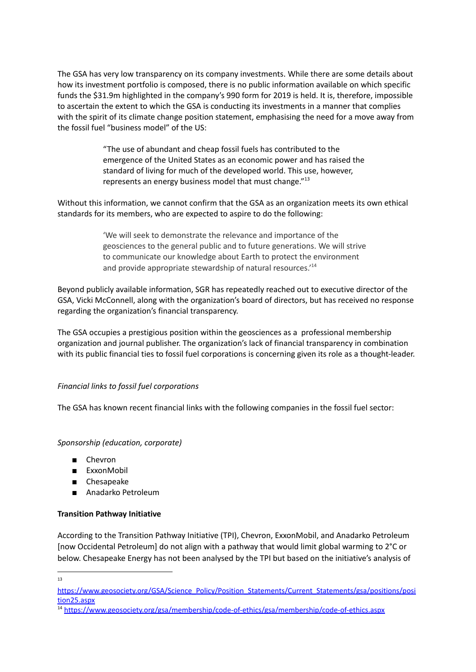The GSA has very low transparency on its company investments. While there are some details about how its investment portfolio is composed, there is no public information available on which specific funds the \$31.9m highlighted in the company's 990 form for 2019 is held. It is, therefore, impossible to ascertain the extent to which the GSA is conducting its investments in a manner that complies with the spirit of its climate change position statement, emphasising the need for a move away from the fossil fuel "business model" of the US:

> "The use of abundant and cheap fossil fuels has contributed to the emergence of the United States as an economic power and has raised the standard of living for much of the developed world. This use, however, represents an energy business model that must change."<sup>13</sup>

Without this information, we cannot confirm that the GSA as an organization meets its own ethical standards for its members, who are expected to aspire to do the following:

> 'We will seek to demonstrate the relevance and importance of the geosciences to the general public and to future generations. We will strive to communicate our knowledge about Earth to protect the environment and provide appropriate stewardship of natural resources.' 14

Beyond publicly available information, SGR has repeatedly reached out to executive director of the GSA, Vicki McConnell, along with the organization's board of directors, but has received no response regarding the organization's financial transparency.

The GSA occupies a prestigious position within the geosciences as a professional membership organization and journal publisher. The organization's lack of financial transparency in combination with its public financial ties to fossil fuel corporations is concerning given its role as a thought-leader.

# *Financial links to fossil fuel corporations*

The GSA has known recent financial links with the following companies in the fossil fuel sector:

### *Sponsorship (education, corporate)*

- Chevron
- **ExxonMobil**
- Chesapeake
- Anadarko Petroleum

### **Transition Pathway Initiative**

According to the [Transition](https://www.transitionpathwayinitiative.org/publications/16?type=NewsArticle) Pathway Initiative (TPI), Chevron, ExxonMobil, and Anadarko Petroleum [now Occidental Petroleum] do not align with a pathway that would limit global warming to 2°C or below. Chesapeake Energy has not been analysed by the TPI but based on the initiative's analysis of

13

[https://www.geosociety.org/GSA/Science\\_Policy/Position\\_Statements/Current\\_Statements/gsa/positions/posi](https://www.geosociety.org/GSA/Science_Policy/Position_Statements/Current_Statements/gsa/positions/position25.aspx) [tion25.aspx](https://www.geosociety.org/GSA/Science_Policy/Position_Statements/Current_Statements/gsa/positions/position25.aspx)

<sup>14</sup> <https://www.geosociety.org/gsa/membership/code-of-ethics/gsa/membership/code-of-ethics.aspx>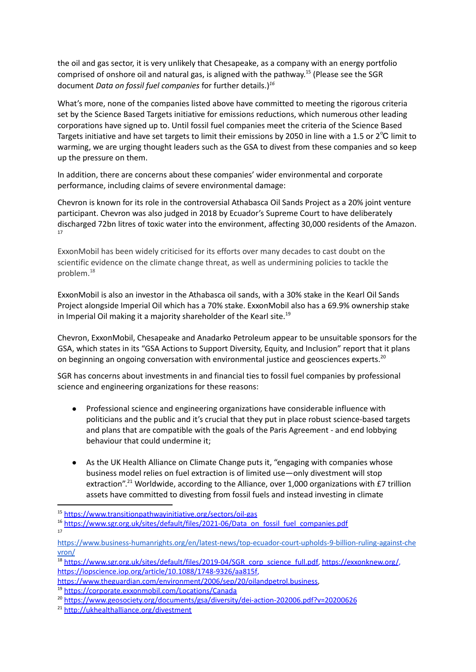the oil and gas sector, it is very unlikely that Chesapeake, as a company with an energy portfolio comprised of onshore oil and natural gas, is aligned with the pathway.<sup>15</sup> (Please see the SGR document *Data on fossil fuel companies* for further details.) *16*

What's more, none of the companies listed above have committed to meeting the rigorous criteria set by the Science Based Targets initiative for emissions reductions, which numerous other leading corporations have signed up to. Until fossil fuel companies meet the criteria of the Science Based Targets initiative and have set targets to limit their emissions by 2050 in line with a 1.5 or 2<sup>°</sup>C limit to warming, we are urging thought leaders such as the GSA to divest from these companies and so keep up the pressure on them.

In addition, there are concerns about these companies' wider environmental and corporate performance, including claims of severe environmental damage:

Chevron is known for its role in the controversial Athabasca Oil Sands Project as a 20% joint venture participant. Chevron was also judged in 2018 by Ecuador's Supreme Court to have deliberately discharged 72bn litres of toxic water into the environment, affecting 30,000 residents of the Amazon. 17

ExxonMobil has been widely criticised for its efforts over many decades to cast doubt on the scientific evidence on the climate change threat, as well as undermining policies to tackle the problem. 18

ExxonMobil is also an investor in the Athabasca oil sands, with a 30% stake in the Kearl Oil Sands Project alongside Imperial Oil which has a 70% stake. ExxonMobil also has a 69.9% ownership stake in Imperial Oil making it a majority shareholder of the Kearl site. 19

Chevron, ExxonMobil, Chesapeake and Anadarko Petroleum appear to be unsuitable sponsors for the GSA, which states in its "GSA Actions to Support Diversity, Equity, and Inclusion" report that it plans on beginning an ongoing conversation with environmental justice and geosciences experts.<sup>20</sup>

SGR has concerns about investments in and financial ties to fossil fuel companies by professional science and engineering organizations for these reasons:

- Professional science and engineering organizations have considerable influence with politicians and the public and it's crucial that they put in place robust science-based targets and plans that are compatible with the goals of the Paris Agreement - and end lobbying behaviour that could undermine it;
- As the UK Health Alliance on Climate Change puts it, "engaging with companies whose business model relies on fuel extraction is of limited use—only divestment will stop extraction".<sup>21</sup> Worldwide, according to the Alliance, over 1,000 organizations with £7 trillion assets have committed to divesting from fossil fuels and instead investing in climate

<sup>18</sup> [https://www.sgr.org.uk/sites/default/files/2019-04/SGR\\_corp\\_science\\_full.pdf,](https://www.sgr.org.uk/sites/default/files/2019-04/SGR_corp_science_full.pdf) <https://exxonknew.org/>, <https://iopscience.iop.org/article/10.1088/1748-9326/aa815f>,

17

<sup>15</sup> <https://www.transitionpathwayinitiative.org/sectors/oil-gas>

<sup>&</sup>lt;sup>16</sup> [https://www.sgr.org.uk/sites/default/files/2021-06/Data\\_on\\_fossil\\_fuel\\_companies.pdf](https://www.sgr.org.uk/sites/default/files/2021-06/Data_on_fossil_fuel_companies.pdf)

[https://www.business-humanrights.org/en/latest-news/top-ecuador-court-upholds-9-billion-ruling-against-che](https://www.business-humanrights.org/en/latest-news/top-ecuador-court-upholds-9-billion-ruling-against-chevron/) [vron/](https://www.business-humanrights.org/en/latest-news/top-ecuador-court-upholds-9-billion-ruling-against-chevron/)

[https://www.theguardian.com/environment/2006/sep/20/oilandpetrol.business,](https://www.theguardian.com/environment/2006/sep/20/oilandpetrol.business)

<sup>19</sup> <https://corporate.exxonmobil.com/Locations/Canada>

<sup>&</sup>lt;sup>20</sup> <https://www.geosociety.org/documents/gsa/diversity/dei-action-202006.pdf?v=20200626>

<sup>21</sup> <http://ukhealthalliance.org/divestment>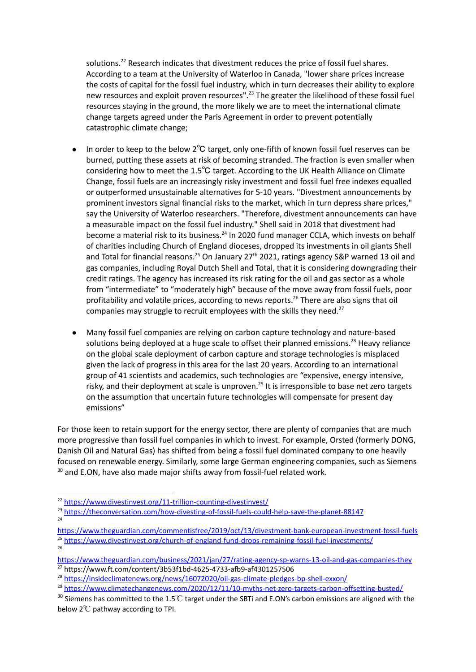solutions.<sup>22</sup> Research indicates that divestment reduces the price of fossil fuel shares. According to a team at the University of Waterloo in Canada, "lower share prices increase the costs of capital for the fossil fuel industry, which in turn decreases their ability to explore new resources and exploit proven resources".<sup>23</sup> The greater the likelihood of these fossil fuel resources staying in the ground, the more likely we are to meet the international climate change targets agreed under the Paris Agreement in order to prevent potentially catastrophic climate change;

- In order to keep to the below 2℃ target, only one-fifth of known fossil fuel reserves can be burned, putting these assets at risk of becoming stranded. The fraction is even smaller when considering how to meet the 1.5℃ target. According to the UK Health [Alliance](http://ukhealthalliance.org/divestment) on Climate [Change](http://ukhealthalliance.org/divestment), fossil fuels are an increasingly risky investment and fossil fuel free indexes equalled or outperformed unsustainable alternatives for 5-10 years. "Divestment announcements by prominent investors signal financial risks to the market, which in turn depress share prices," say the University of Waterloo researchers. "Therefore, divestment announcements can have a measurable impact on the fossil fuel industry." Shell said in 2018 that divestment had become a material risk to its business.<sup>24</sup> In 2020 fund manager CCLA, which invests on behalf of charities including Church of England dioceses, dropped its investments in oil giants Shell and Total for financial reasons.<sup>25</sup> On January 27<sup>th</sup> 2021, ratings agency S&P warned 13 oil and gas companies, including Royal Dutch Shell and Total, that it is considering downgrading their credit ratings. The agency has increased its risk rating for the oil and gas sector as a whole from "intermediate" to "moderately high" because of the move away from fossil fuels, poor profitability and volatile prices, according to news reports.<sup>26</sup> There are also signs that oil companies may struggle to recruit employees with the skills they need.<sup>27</sup>
- Many fossil fuel companies are relying on carbon capture technology and nature-based solutions being deployed at a huge scale to offset their planned emissions.<sup>28</sup> Heavy reliance on the global scale deployment of carbon capture and storage technologies is misplaced given the lack of progress in this area for the last 20 years. According to an international group of 41 scientists and academics, such technologies are "expensive, energy intensive, risky, and their deployment at scale is unproven.<sup>29</sup> It is irresponsible to base net zero targets on the assumption that uncertain future technologies will compensate for present day emissions"

For those keen to retain support for the energy sector, there are plenty of companies that are much more progressive than fossil fuel companies in which to invest. For example, Orsted (formerly DONG, Danish Oil and Natural Gas) has shifted from being a fossil fuel dominated company to one heavily focused on renewable energy. Similarly, some large German engineering companies, such as Siemens  $30$  and E.ON, have also made major shifts away from fossil-fuel related work.

26

- 24 <sup>23</sup> <https://theconversation.com/how-divesting-of-fossil-fuels-could-help-save-the-planet-88147>
- <sup>25</sup> <https://www.divestinvest.org/church-of-england-fund-drops-remaining-fossil-fuel-investments/> <https://www.theguardian.com/commentisfree/2019/oct/13/divestment-bank-european-investment-fossil-fuels>

<sup>27</sup> https://www.ft.com/content/3b53f1bd-4625-4733-afb9-af4301257506 <https://www.theguardian.com/business/2021/jan/27/rating-agency-sp-warns-13-oil-and-gas-companies-they>

<sup>22</sup> <https://www.divestinvest.org/11-trillion-counting-divestinvest/>

<sup>&</sup>lt;sup>28</sup> <https://insideclimatenews.org/news/16072020/oil-gas-climate-pledges-bp-shell-exxon/>

<sup>&</sup>lt;sup>29</sup> <https://www.climatechangenews.com/2020/12/11/10-myths-net-zero-targets-carbon-offsetting-busted/>

<sup>&</sup>lt;sup>30</sup> Siemens has committed to the 1.5℃ target under the SBTi and E.ON's carbon emissions are aligned with the below 2℃ pathway according to TPI.